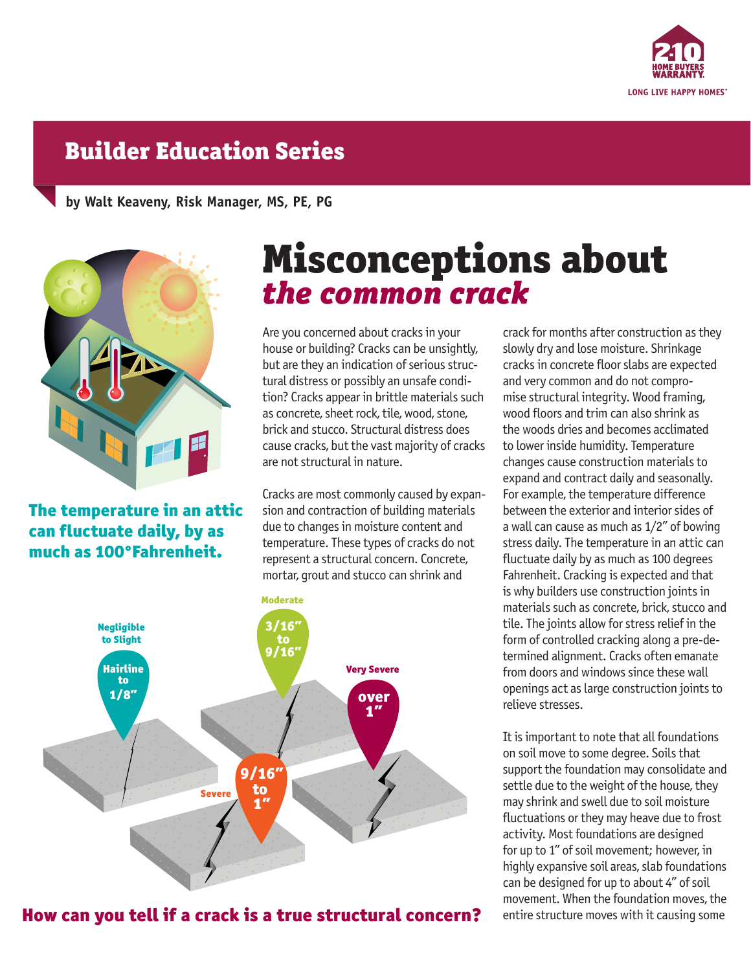

## Builder Education Series

**by Walt Keaveny, Risk Manager, MS, PE, PG**



## The temperature in an attic can fluctuate daily, by as much as 100°Fahrenheit.

## *the common crack* Misconceptions about

Are you concerned about cracks in your house or building? Cracks can be unsightly, but are they an indication of serious structural distress or possibly an unsafe condition? Cracks appear in brittle materials such as concrete, sheet rock, tile, wood, stone, brick and stucco. Structural distress does cause cracks, but the vast majority of cracks are not structural in nature.

Cracks are most commonly caused by expansion and contraction of building materials due to changes in moisture content and temperature. These types of cracks do not represent a structural concern. Concrete, mortar, grout and stucco can shrink and



How can you tell if a crack is a true structural concern?

crack for months after construction as they slowly dry and lose moisture. Shrinkage cracks in concrete floor slabs are expected and very common and do not compromise structural integrity. Wood framing, wood floors and trim can also shrink as the woods dries and becomes acclimated to lower inside humidity. Temperature changes cause construction materials to expand and contract daily and seasonally. For example, the temperature difference between the exterior and interior sides of a wall can cause as much as 1/2" of bowing stress daily. The temperature in an attic can fluctuate daily by as much as 100 degrees Fahrenheit. Cracking is expected and that is why builders use construction joints in materials such as concrete, brick, stucco and tile. The joints allow for stress relief in the form of controlled cracking along a pre-determined alignment. Cracks often emanate from doors and windows since these wall openings act as large construction joints to relieve stresses.

It is important to note that all foundations on soil move to some degree. Soils that support the foundation may consolidate and settle due to the weight of the house, they may shrink and swell due to soil moisture fluctuations or they may heave due to frost activity. Most foundations are designed for up to 1" of soil movement; however, in highly expansive soil areas, slab foundations can be designed for up to about 4" of soil movement. When the foundation moves, the entire structure moves with it causing some